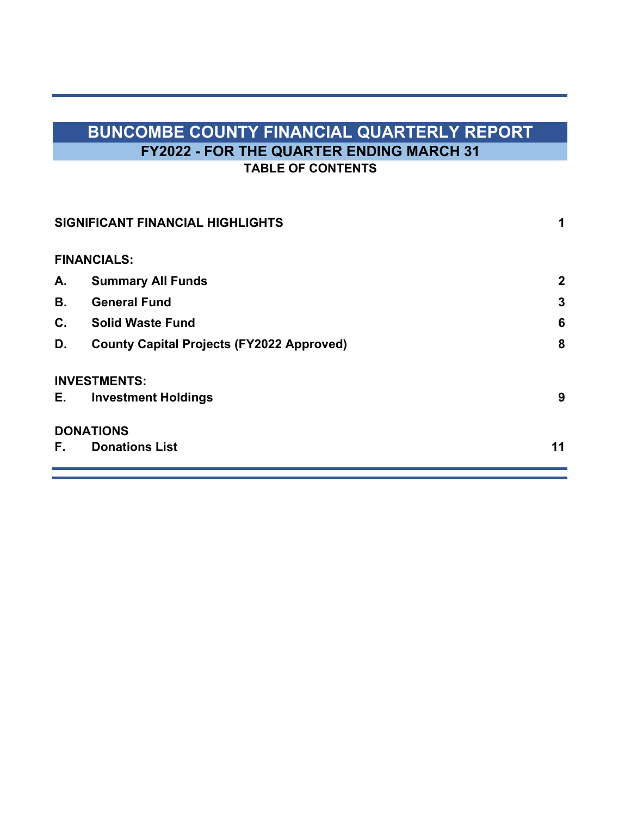# **BUNCOMBE COUNTY FINANCIAL QUARTERLY REPORT FY2022 - FOR THE QUARTER ENDING MARCH 31 TABLE OF CONTENTS**

|    | SIGNIFICANT FINANCIAL HIGHLIGHTS                 | 1            |
|----|--------------------------------------------------|--------------|
|    | <b>FINANCIALS:</b>                               |              |
| А. | <b>Summary All Funds</b>                         | $\mathbf{2}$ |
| В. | <b>General Fund</b>                              | 3            |
| C. | <b>Solid Waste Fund</b>                          | 6            |
| D. | <b>County Capital Projects (FY2022 Approved)</b> | 8            |
|    | <b>INVESTMENTS:</b>                              |              |
| E. | <b>Investment Holdings</b>                       | 9            |
|    | <b>DONATIONS</b>                                 |              |
| F. | <b>Donations List</b>                            | 11           |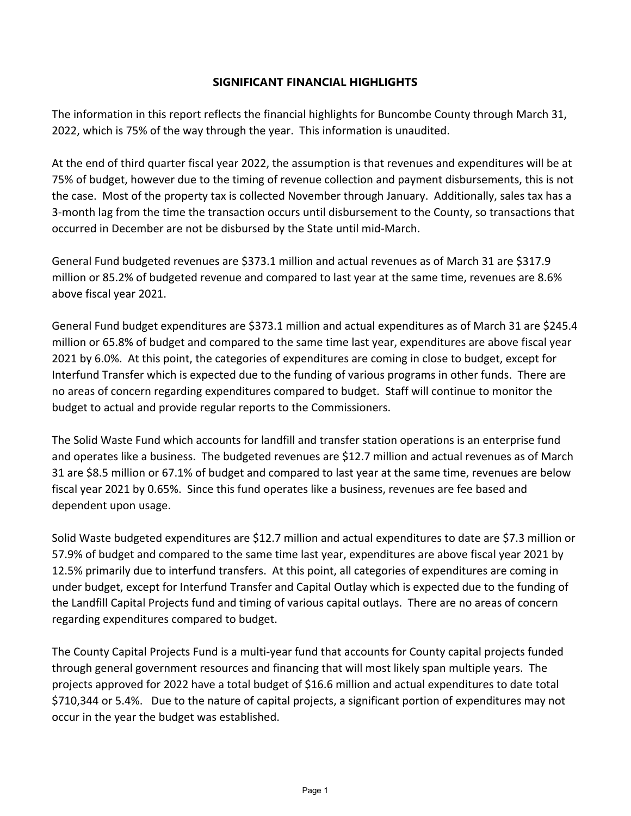### **SIGNIFICANT FINANCIAL HIGHLIGHTS**

The information in this report reflects the financial highlights for Buncombe County through March 31, 2022, which is 75% of the way through the year. This information is unaudited.

At the end of third quarter fiscal year 2022, the assumption is that revenues and expenditures will be at 75% of budget, however due to the timing of revenue collection and payment disbursements, this is not the case. Most of the property tax is collected November through January. Additionally, sales tax has a 3‐month lag from the time the transaction occurs until disbursement to the County, so transactions that occurred in December are not be disbursed by the State until mid‐March.

General Fund budgeted revenues are \$373.1 million and actual revenues as of March 31 are \$317.9 million or 85.2% of budgeted revenue and compared to last year at the same time, revenues are 8.6% above fiscal year 2021.

General Fund budget expenditures are \$373.1 million and actual expenditures as of March 31 are \$245.4 million or 65.8% of budget and compared to the same time last year, expenditures are above fiscal year 2021 by 6.0%. At this point, the categories of expenditures are coming in close to budget, except for Interfund Transfer which is expected due to the funding of various programs in other funds. There are no areas of concern regarding expenditures compared to budget. Staff will continue to monitor the budget to actual and provide regular reports to the Commissioners.

The Solid Waste Fund which accounts for landfill and transfer station operations is an enterprise fund and operates like a business. The budgeted revenues are \$12.7 million and actual revenues as of March 31 are \$8.5 million or 67.1% of budget and compared to last year at the same time, revenues are below fiscal year 2021 by 0.65%. Since this fund operates like a business, revenues are fee based and dependent upon usage.

Solid Waste budgeted expenditures are \$12.7 million and actual expenditures to date are \$7.3 million or 57.9% of budget and compared to the same time last year, expenditures are above fiscal year 2021 by 12.5% primarily due to interfund transfers. At this point, all categories of expenditures are coming in under budget, except for Interfund Transfer and Capital Outlay which is expected due to the funding of the Landfill Capital Projects fund and timing of various capital outlays. There are no areas of concern regarding expenditures compared to budget.

The County Capital Projects Fund is a multi‐year fund that accounts for County capital projects funded through general government resources and financing that will most likely span multiple years. The projects approved for 2022 have a total budget of \$16.6 million and actual expenditures to date total \$710,344 or 5.4%. Due to the nature of capital projects, a significant portion of expenditures may not occur in the year the budget was established.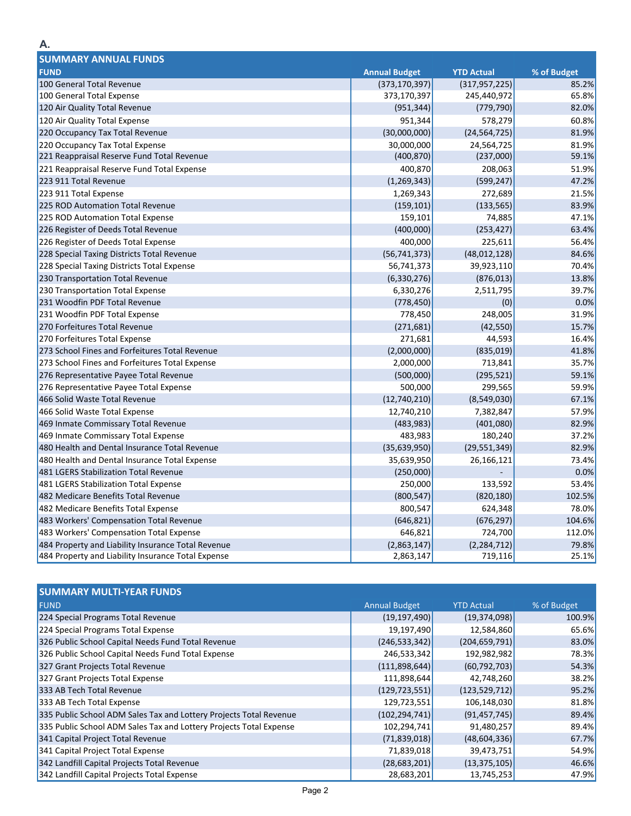| <b>SUMMARY ANNUAL FUNDS</b>                        |                      |                   |             |
|----------------------------------------------------|----------------------|-------------------|-------------|
| <b>FUND</b>                                        | <b>Annual Budget</b> | <b>YTD Actual</b> | % of Budget |
| 100 General Total Revenue                          | (373, 170, 397)      | (317, 957, 225)   | 85.2%       |
| 100 General Total Expense                          | 373,170,397          | 245,440,972       | 65.8%       |
| 120 Air Quality Total Revenue                      | (951, 344)           | (779, 790)        | 82.0%       |
| 120 Air Quality Total Expense                      | 951,344              | 578,279           | 60.8%       |
| 220 Occupancy Tax Total Revenue                    | (30,000,000)         | (24, 564, 725)    | 81.9%       |
| 220 Occupancy Tax Total Expense                    | 30,000,000           | 24,564,725        | 81.9%       |
| 221 Reappraisal Reserve Fund Total Revenue         | (400, 870)           | (237,000)         | 59.1%       |
| 221 Reappraisal Reserve Fund Total Expense         | 400,870              | 208,063           | 51.9%       |
| 223 911 Total Revenue                              | (1, 269, 343)        | (599, 247)        | 47.2%       |
| 223 911 Total Expense                              | 1,269,343            | 272,689           | 21.5%       |
| 225 ROD Automation Total Revenue                   | (159, 101)           | (133, 565)        | 83.9%       |
| 225 ROD Automation Total Expense                   | 159,101              | 74,885            | 47.1%       |
| 226 Register of Deeds Total Revenue                | (400,000)            | (253, 427)        | 63.4%       |
| 226 Register of Deeds Total Expense                | 400,000              | 225,611           | 56.4%       |
| 228 Special Taxing Districts Total Revenue         | (56, 741, 373)       | (48, 012, 128)    | 84.6%       |
| 228 Special Taxing Districts Total Expense         | 56,741,373           | 39,923,110        | 70.4%       |
| 230 Transportation Total Revenue                   | (6, 330, 276)        | (876, 013)        | 13.8%       |
| 230 Transportation Total Expense                   | 6,330,276            | 2,511,795         | 39.7%       |
| 231 Woodfin PDF Total Revenue                      | (778, 450)           | (0)               | 0.0%        |
| 231 Woodfin PDF Total Expense                      | 778,450              | 248,005           | 31.9%       |
| 270 Forfeitures Total Revenue                      | (271, 681)           | (42, 550)         | 15.7%       |
| 270 Forfeitures Total Expense                      | 271,681              | 44,593            | 16.4%       |
| 273 School Fines and Forfeitures Total Revenue     | (2,000,000)          | (835, 019)        | 41.8%       |
| 273 School Fines and Forfeitures Total Expense     | 2,000,000            | 713,841           | 35.7%       |
| 276 Representative Payee Total Revenue             | (500,000)            | (295, 521)        | 59.1%       |
| 276 Representative Payee Total Expense             | 500,000              | 299,565           | 59.9%       |
| 466 Solid Waste Total Revenue                      | (12,740,210)         | (8,549,030)       | 67.1%       |
| 466 Solid Waste Total Expense                      | 12,740,210           | 7,382,847         | 57.9%       |
| 469 Inmate Commissary Total Revenue                | (483, 983)           | (401,080)         | 82.9%       |
| 469 Inmate Commissary Total Expense                | 483,983              | 180,240           | 37.2%       |
| 480 Health and Dental Insurance Total Revenue      | (35,639,950)         | (29, 551, 349)    | 82.9%       |
| 480 Health and Dental Insurance Total Expense      | 35,639,950           | 26,166,121        | 73.4%       |
| 481 LGERS Stabilization Total Revenue              | (250,000)            |                   | 0.0%        |
| 481 LGERS Stabilization Total Expense              | 250,000              | 133,592           | 53.4%       |
| 482 Medicare Benefits Total Revenue                | (800, 547)           | (820, 180)        | 102.5%      |
| 482 Medicare Benefits Total Expense                | 800,547              | 624,348           | 78.0%       |
| 483 Workers' Compensation Total Revenue            | (646, 821)           | (676, 297)        | 104.6%      |
| 483 Workers' Compensation Total Expense            | 646,821              | 724,700           | 112.0%      |
| 484 Property and Liability Insurance Total Revenue | (2,863,147)          | (2, 284, 712)     | 79.8%       |
| 484 Property and Liability Insurance Total Expense | 2,863,147            | 719,116           | 25.1%       |

| <b>SUMMARY MULTI-YEAR FUNDS</b>                                    |                      |                   |             |
|--------------------------------------------------------------------|----------------------|-------------------|-------------|
| <b>FUND</b>                                                        | <b>Annual Budget</b> | <b>YTD Actual</b> | % of Budget |
| 224 Special Programs Total Revenue                                 | (19, 197, 490)       | (19, 374, 098)    | 100.9%      |
| 224 Special Programs Total Expense                                 | 19,197,490           | 12,584,860        | 65.6%       |
| 326 Public School Capital Needs Fund Total Revenue                 | (246, 533, 342)      | (204, 659, 791)   | 83.0%       |
| 326 Public School Capital Needs Fund Total Expense                 | 246,533,342          | 192,982,982       | 78.3%       |
| 327 Grant Projects Total Revenue                                   | (111,898,644)        | (60, 792, 703)    | 54.3%       |
| 327 Grant Projects Total Expense                                   | 111,898,644          | 42,748,260        | 38.2%       |
| 333 AB Tech Total Revenue                                          | (129, 723, 551)      | (123, 529, 712)   | 95.2%       |
| 333 AB Tech Total Expense                                          | 129,723,551          | 106,148,030       | 81.8%       |
| 335 Public School ADM Sales Tax and Lottery Projects Total Revenue | (102, 294, 741)      | (91, 457, 745)    | 89.4%       |
| 335 Public School ADM Sales Tax and Lottery Projects Total Expense | 102,294,741          | 91,480,257        | 89.4%       |
| 341 Capital Project Total Revenue                                  | (71,839,018)         | (48, 604, 336)    | 67.7%       |
| 341 Capital Project Total Expense                                  | 71,839,018           | 39,473,751        | 54.9%       |
| 342 Landfill Capital Projects Total Revenue                        | (28, 683, 201)       | (13, 375, 105)    | 46.6%       |
| 342 Landfill Capital Projects Total Expense                        | 28,683,201           | 13,745,253        | 47.9%       |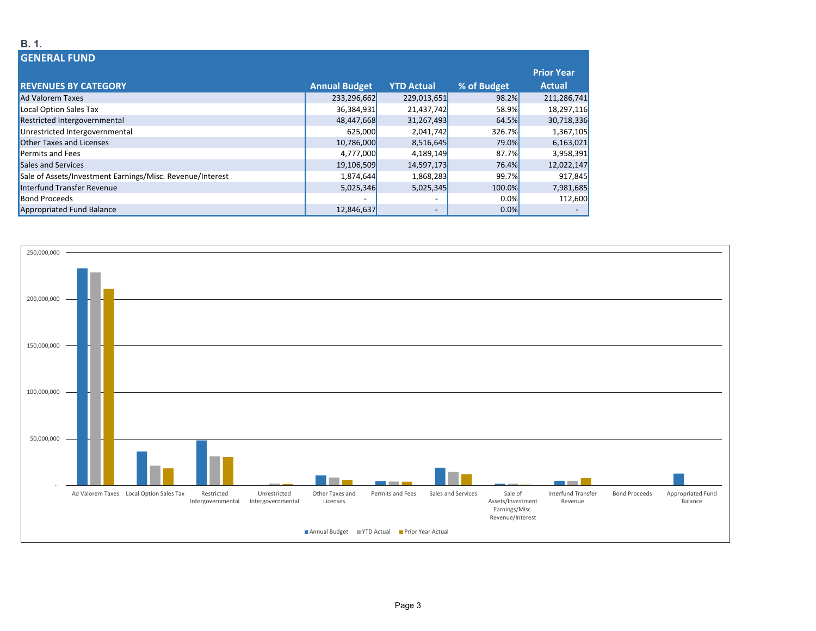#### **GENERAL FUNDREVENUES BY CATEGORY Annual Budget YTD Actual % of Budget Prior Year Actual**Ad Valoremm Taxes 233,296,662 229,013,651 229,013,651 98.2% 211,286,741 98.2% 211,286,741 98.2% 211,286,741 m Local Option Sales Tax 36,384,931 21,437,742 58.9% 18,297,116 Restricted Intergovernmental 48,447,668 31,267,493 64.5% 30,718,336 Unrestricted Intergovernmental 625,000 2,041,742 326.7% 1,367,105 Other Taxes and Licenses 10,786,000 8,516,645 79.0% 6,163,021 Permits and Fees 4,777,000 4,189,149 87.7% 3,958,391 Sales and Services 19,106,509 14,597,173 76.4% 12,022,147 Sale of Assets/Investment Earnings/Misc. Revenue/Interest 1,880 1,874,644 1,868,283 99.7% 917,845 Interfund Transfer Revenue 5,025,346 5,025,345 100.0% 7,981,685 **Bond Proceeds**  Proceeds ‐ ‐ 0.0% 112,600 Appropriated Fund Balance 12,846,637 **12,846,637 12,846,637 12,846,637 12,846,637**



### **B. 1.**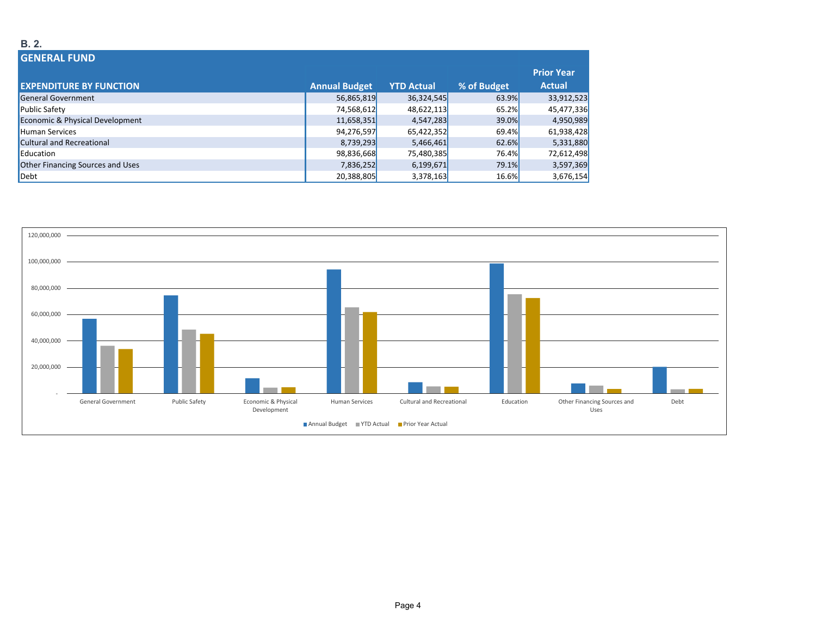#### **B. 2.**

| <b>GENERAL FUND</b>              |                      |                   |             |                   |
|----------------------------------|----------------------|-------------------|-------------|-------------------|
|                                  |                      |                   |             | <b>Prior Year</b> |
| <b>EXPENDITURE BY FUNCTION</b>   | <b>Annual Budget</b> | <b>YTD Actual</b> | % of Budget | <b>Actual</b>     |
| <b>General Government</b>        | 56,865,819           | 36,324,545        | 63.9%       | 33,912,523        |
| <b>Public Safety</b>             | 74,568,612           | 48,622,113        | 65.2%       | 45,477,336        |
| Economic & Physical Development  | 11,658,351           | 4,547,283         | 39.0%       | 4,950,989         |
| <b>Human Services</b>            | 94,276,597           | 65,422,352        | 69.4%       | 61,938,428        |
| <b>Cultural and Recreational</b> | 8,739,293            | 5,466,461         | 62.6%       | 5,331,880         |
| Education                        | 98,836,668           | 75,480,385        | 76.4%       | 72,612,498        |
| Other Financing Sources and Uses | 7,836,252            | 6,199,671         | 79.1%       | 3,597,369         |
| Debt                             | 20,388,805           | 3,378,163         | 16.6%       | 3,676,154         |

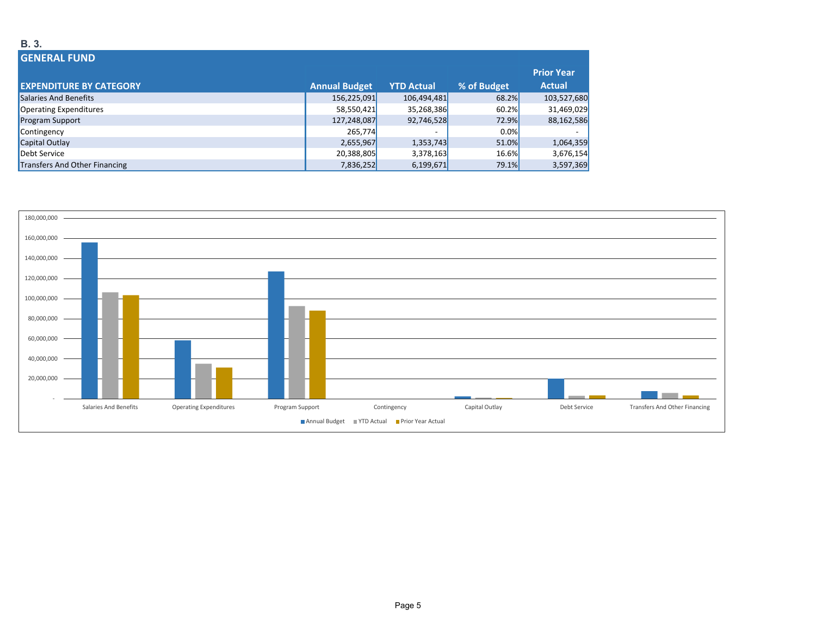#### **GENERAL FUNDEXPENDITURE BY CATEGORY Annual Budget YTD Actual % of Budget Prior Year Actual** Salaries And Benefits 156,225,091 106,494,481 68.2% 103,527,680 Operating Expenditures and the state of the state of the state of the state of the state of the state of the state of the state of the state of the state of the state of the state of the state of the state of the state of Program Support 127,248,087 92,746,528 72.9% 88,162,586 Contingency 265,774 ‐ 0.0% ‐ Capital Outlay 2,655,967 1,353,743 51.0% 51.0% 1,064,359 1,064,359 1,064,359 1,064,359 Debt Servicee 20,388,805| 3,378,163| 16.6%| 3,676,154 Transfers And Other Financing 7,836,252 6,199,671 79.1% 3,597,369 مصطلح 7,836,252 6,199,671 79.1% 3,597,369



#### **B. 3.**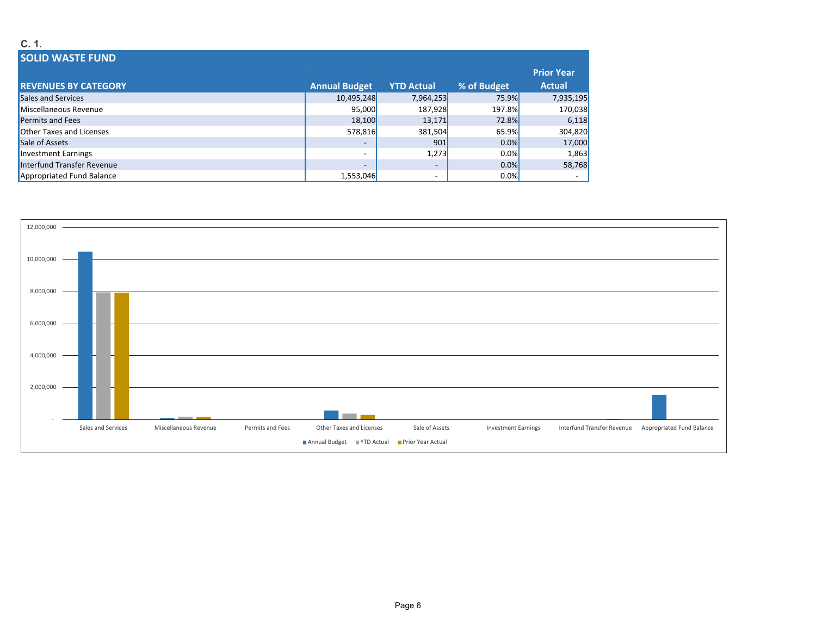| C. 1.                           |                          |                   |             |                   |
|---------------------------------|--------------------------|-------------------|-------------|-------------------|
| <b>SOLID WASTE FUND</b>         |                          |                   |             |                   |
|                                 |                          |                   |             | <b>Prior Year</b> |
| <b>REVENUES BY CATEGORY</b>     | <b>Annual Budget</b>     | <b>YTD Actual</b> | % of Budget | <b>Actual</b>     |
| Sales and Services              | 10,495,248               | 7,964,253         | 75.9%       | 7,935,195         |
| Miscellaneous Revenue           | 95,000                   | 187,928           | 197.8%      | 170,038           |
| <b>Permits and Fees</b>         | 18,100                   | 13,171            | 72.8%       | 6,118             |
| <b>Other Taxes and Licenses</b> | 578,816                  | 381,504           | 65.9%       | 304,820           |
| Sale of Assets                  |                          | 901               | 0.0%        | 17,000            |
| Investment Earnings             | $\overline{\phantom{a}}$ | 1,273             | 0.0%        | 1,863             |
| Interfund Transfer Revenue      | $\overline{\phantom{0}}$ | $\sim$            | 0.0%        | 58,768            |
| Appropriated Fund Balance       | 1,553,046                |                   | $0.0\%$     |                   |

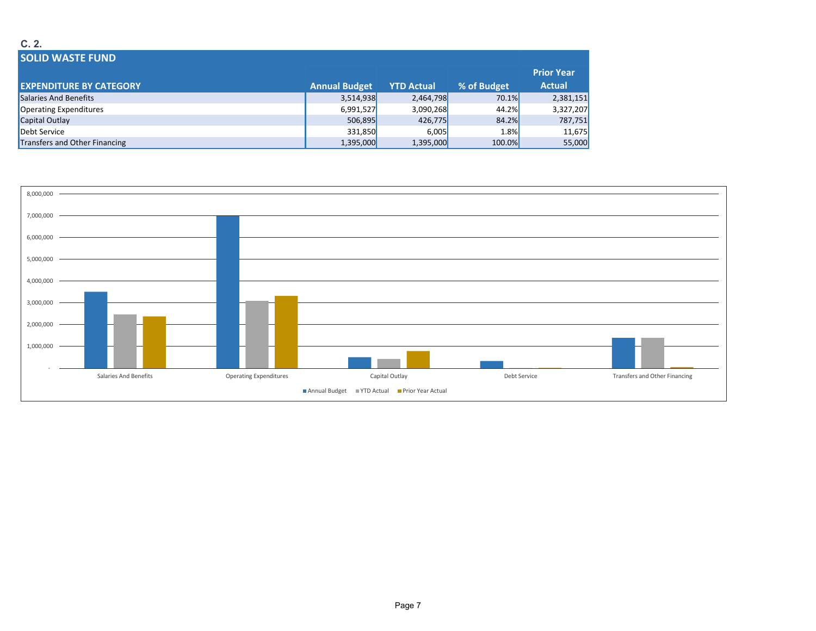#### **C. 2.**

| <b>SOLID WASTE FUND</b>        |                      |                   |             |                   |
|--------------------------------|----------------------|-------------------|-------------|-------------------|
|                                |                      |                   |             | <b>Prior Year</b> |
| <b>EXPENDITURE BY CATEGORY</b> | <b>Annual Budget</b> | <b>YTD Actual</b> | % of Budget | <b>Actual</b>     |
| Salaries And Benefits          | 3,514,938            | 2,464,798         | 70.1%       | 2,381,151         |
| Operating Expenditures         | 6,991,527            | 3,090,268         | 44.2%       | 3,327,207         |
| Capital Outlay                 | 506,895              | 426,775           | 84.2%       | 787,751           |
| Debt Service                   | 331,850              | 6,005             | 1.8%        | 11,675            |
| Transfers and Other Financing  | 1,395,000            | 1,395,000         | 100.0%      | 55,000            |

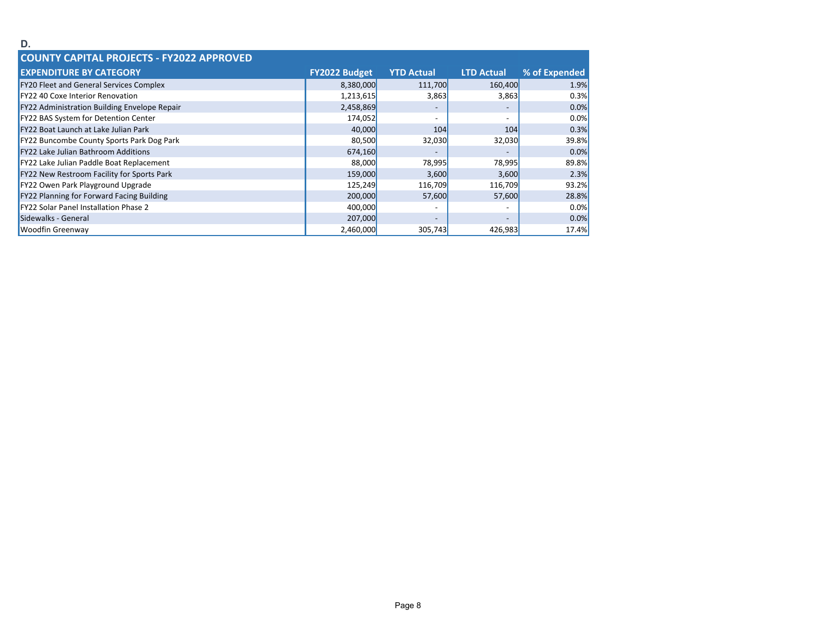| D.                                                  |                      |                          |                          |               |
|-----------------------------------------------------|----------------------|--------------------------|--------------------------|---------------|
| <b>COUNTY CAPITAL PROJECTS - FY2022 APPROVED</b>    |                      |                          |                          |               |
| <b>EXPENDITURE BY CATEGORY</b>                      | <b>FY2022 Budget</b> | <b>YTD Actual</b>        | <b>LTD Actual</b>        | % of Expended |
| <b>FY20 Fleet and General Services Complex</b>      | 8,380,000            | 111,700                  | 160,400                  | 1.9%          |
| <b>FY22 40 Coxe Interior Renovation</b>             | 1,213,615            | 3,863                    | 3,863                    | 0.3%          |
| <b>FY22 Administration Building Envelope Repair</b> | 2,458,869            |                          | $\overline{\phantom{a}}$ | 0.0%          |
| FY22 BAS System for Detention Center                | 174,052              | $\overline{\phantom{0}}$ | $\overline{\phantom{0}}$ | 0.0%          |
| <b>FY22 Boat Launch at Lake Julian Park</b>         | 40,000               | 104                      | 104                      | 0.3%          |
| <b>FY22 Buncombe County Sports Park Dog Park</b>    | 80,500               | 32,030                   | 32,030                   | 39.8%         |
| <b>FY22 Lake Julian Bathroom Additions</b>          | 674,160              |                          |                          | 0.0%          |
| <b>FY22 Lake Julian Paddle Boat Replacement</b>     | 88,000               | 78,995                   | 78,995                   | 89.8%         |
| <b>FY22 New Restroom Facility for Sports Park</b>   | 159,000              | 3,600                    | 3,600                    | 2.3%          |
| FY22 Owen Park Playground Upgrade                   | 125,249              | 116,709                  | 116,709                  | 93.2%         |
| FY22 Planning for Forward Facing Building           | 200,000              | 57,600                   | 57,600                   | 28.8%         |
| <b>FY22 Solar Panel Installation Phase 2</b>        | 400,000              |                          | $\overline{\phantom{a}}$ | 0.0%          |
| Sidewalks - General                                 | 207,000              | $\overline{\phantom{0}}$ | $\overline{\phantom{0}}$ | 0.0%          |
| <b>Woodfin Greenway</b>                             | 2,460,000            | 305,743                  | 426,983                  | 17.4%         |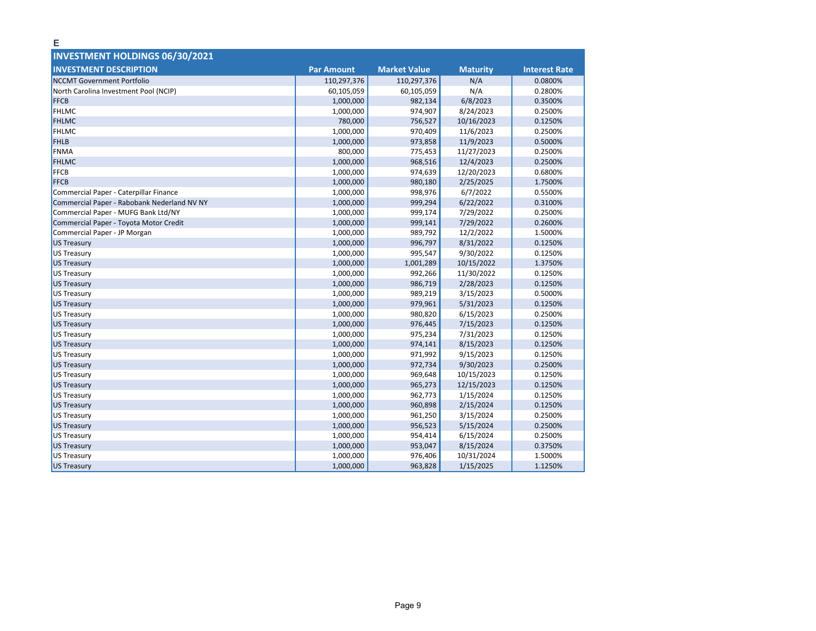| <b>INVESTMENT HOLDINGS 06/30/2021</b>       |                   |                     |                 |                      |
|---------------------------------------------|-------------------|---------------------|-----------------|----------------------|
|                                             |                   |                     |                 |                      |
| <b>INVESTMENT DESCRIPTION</b>               | <b>Par Amount</b> | <b>Market Value</b> | <b>Maturity</b> | <b>Interest Rate</b> |
| <b>NCCMT Government Portfolio</b>           | 110,297,376       | 110,297,376         | N/A             | 0.0800%              |
| North Carolina Investment Pool (NCIP)       | 60,105,059        | 60,105,059          | N/A             | 0.2800%              |
| <b>FFCB</b>                                 | 1,000,000         | 982,134             | 6/8/2023        | 0.3500%              |
| <b>FHLMC</b>                                | 1,000,000         | 974,907             | 8/24/2023       | 0.2500%              |
| <b>FHLMC</b>                                | 780,000           | 756,527             | 10/16/2023      | 0.1250%              |
| <b>FHLMC</b>                                | 1,000,000         | 970,409             | 11/6/2023       | 0.2500%              |
| <b>FHLB</b>                                 | 1,000,000         | 973,858             | 11/9/2023       | 0.5000%              |
| <b>FNMA</b>                                 | 800,000           | 775,453             | 11/27/2023      | 0.2500%              |
| <b>FHLMC</b>                                | 1,000,000         | 968,516             | 12/4/2023       | 0.2500%              |
| <b>FFCB</b>                                 | 1,000,000         | 974,639             | 12/20/2023      | 0.6800%              |
| <b>FFCB</b>                                 | 1,000,000         | 980,180             | 2/25/2025       | 1.7500%              |
| Commercial Paper - Caterpillar Finance      | 1,000,000         | 998,976             | 6/7/2022        | 0.5500%              |
| Commercial Paper - Rabobank Nederland NV NY | 1,000,000         | 999,294             | 6/22/2022       | 0.3100%              |
| Commercial Paper - MUFG Bank Ltd/NY         | 1,000,000         | 999,174             | 7/29/2022       | 0.2500%              |
| Commercial Paper - Toyota Motor Credit      | 1,000,000         | 999,141             | 7/29/2022       | 0.2600%              |
| Commercial Paper - JP Morgan                | 1,000,000         | 989,792             | 12/2/2022       | 1.5000%              |
| <b>US Treasury</b>                          | 1,000,000         | 996,797             | 8/31/2022       | 0.1250%              |
| <b>US Treasury</b>                          | 1,000,000         | 995,547             | 9/30/2022       | 0.1250%              |
| <b>US Treasury</b>                          | 1,000,000         | 1,001,289           | 10/15/2022      | 1.3750%              |
| <b>US Treasury</b>                          | 1,000,000         | 992,266             | 11/30/2022      | 0.1250%              |
| <b>US Treasury</b>                          | 1,000,000         | 986,719             | 2/28/2023       | 0.1250%              |
| <b>US Treasury</b>                          | 1,000,000         | 989,219             | 3/15/2023       | 0.5000%              |
| <b>US Treasury</b>                          | 1,000,000         | 979,961             | 5/31/2023       | 0.1250%              |
| <b>US Treasury</b>                          | 1,000,000         | 980,820             | 6/15/2023       | 0.2500%              |
| <b>US Treasury</b>                          | 1,000,000         | 976,445             | 7/15/2023       | 0.1250%              |
| <b>US Treasury</b>                          | 1,000,000         | 975,234             | 7/31/2023       | 0.1250%              |
| <b>US Treasury</b>                          | 1,000,000         | 974,141             | 8/15/2023       | 0.1250%              |
| <b>US Treasury</b>                          | 1,000,000         | 971,992             | 9/15/2023       | 0.1250%              |
| <b>US Treasury</b>                          | 1,000,000         | 972,734             | 9/30/2023       | 0.2500%              |
| <b>US Treasury</b>                          | 1,000,000         | 969,648             | 10/15/2023      | 0.1250%              |
| <b>US Treasury</b>                          | 1,000,000         | 965,273             | 12/15/2023      | 0.1250%              |
| <b>US Treasury</b>                          | 1,000,000         | 962,773             | 1/15/2024       | 0.1250%              |
| <b>US Treasury</b>                          | 1,000,000         | 960,898             | 2/15/2024       | 0.1250%              |
| US Treasury                                 | 1,000,000         | 961,250             | 3/15/2024       | 0.2500%              |
| <b>US Treasury</b>                          | 1,000,000         | 956,523             | 5/15/2024       | 0.2500%              |
| <b>US Treasury</b>                          | 1,000,000         | 954,414             | 6/15/2024       | 0.2500%              |
| <b>US Treasury</b>                          | 1,000,000         | 953,047             | 8/15/2024       | 0.3750%              |
| <b>US Treasury</b>                          | 1,000,000         | 976,406             | 10/31/2024      | 1.5000%              |
| <b>US Treasury</b>                          | 1,000,000         | 963,828             | 1/15/2025       | 1.1250%              |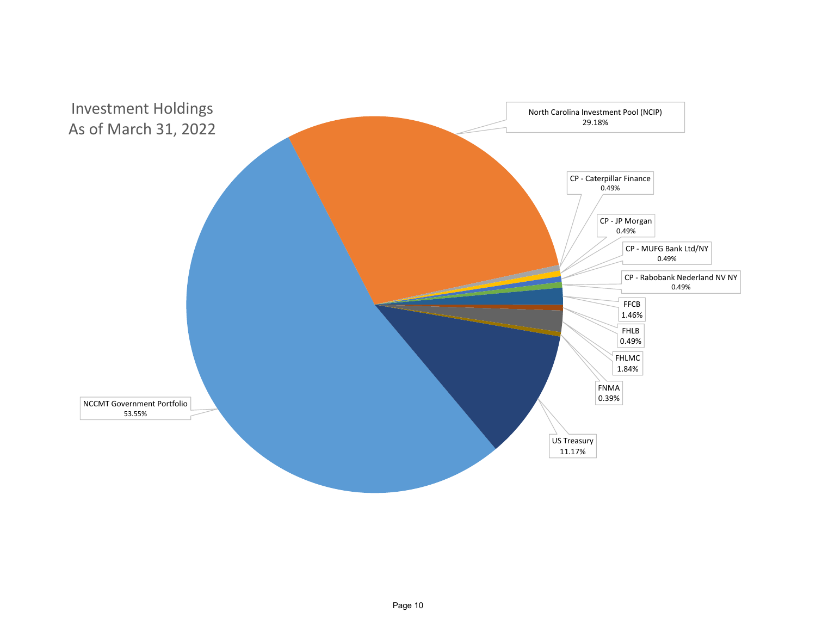